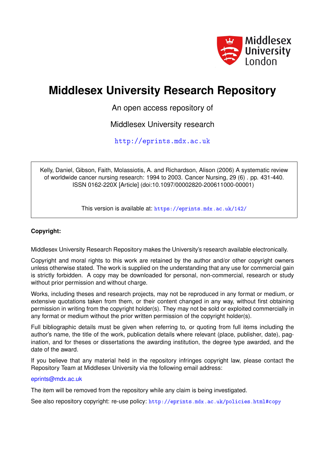

# **Middlesex University Research Repository**

An open access repository of

Middlesex University research

<http://eprints.mdx.ac.uk>

Kelly, Daniel, Gibson, Faith, Molassiotis, A. and Richardson, Alison (2006) A systematic review of worldwide cancer nursing research: 1994 to 2003. Cancer Nursing, 29 (6) . pp. 431-440. ISSN 0162-220X [Article] (doi:10.1097/00002820-200611000-00001)

This version is available at: <https://eprints.mdx.ac.uk/142/>

### **Copyright:**

Middlesex University Research Repository makes the University's research available electronically.

Copyright and moral rights to this work are retained by the author and/or other copyright owners unless otherwise stated. The work is supplied on the understanding that any use for commercial gain is strictly forbidden. A copy may be downloaded for personal, non-commercial, research or study without prior permission and without charge.

Works, including theses and research projects, may not be reproduced in any format or medium, or extensive quotations taken from them, or their content changed in any way, without first obtaining permission in writing from the copyright holder(s). They may not be sold or exploited commercially in any format or medium without the prior written permission of the copyright holder(s).

Full bibliographic details must be given when referring to, or quoting from full items including the author's name, the title of the work, publication details where relevant (place, publisher, date), pagination, and for theses or dissertations the awarding institution, the degree type awarded, and the date of the award.

If you believe that any material held in the repository infringes copyright law, please contact the Repository Team at Middlesex University via the following email address:

#### [eprints@mdx.ac.uk](mailto:eprints@mdx.ac.uk)

The item will be removed from the repository while any claim is being investigated.

See also repository copyright: re-use policy: <http://eprints.mdx.ac.uk/policies.html#copy>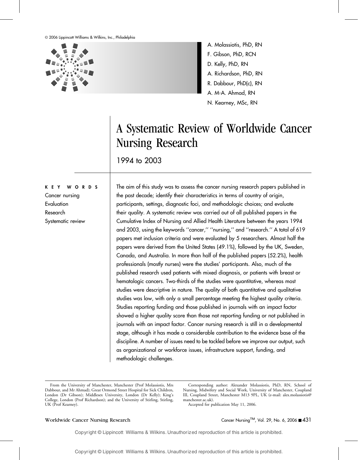

A. Molassiotis, PhD, RN F. Gibson, PhD, RCN D. Kelly, PhD, RN A. Richardson, PhD, RN R. Dabbour, PhD(c), RN A. M-A. Ahmad, RN N. Kearney, MSc, RN

# A Systematic Review of Worldwide Cancer Nursing Research

1994 to 2003

#### KEY WORDS

Cancer nursing Evaluation Research Systematic review The aim of this study was to assess the cancer nursing research papers published in the past decade; identify their characteristics in terms of country of origin, participants, settings, diagnostic foci, and methodologic choices; and evaluate their quality. A systematic review was carried out of all published papers in the Cumulative Index of Nursing and Allied Health Literature between the years 1994 and 2003, using the keywords ''cancer,'' ''nursing,'' and ''research.'' A total of 619 papers met inclusion criteria and were evaluated by 5 researchers. Almost half the papers were derived from the United States (49.1%), followed by the UK, Sweden, Canada, and Australia. In more than half of the published papers (52.2%), health professionals (mostly nurses) were the studies' participants. Also, much of the published research used patients with mixed diagnosis, or patients with breast or hematologic cancers. Two-thirds of the studies were quantitative, whereas most studies were descriptive in nature. The quality of both quantitative and qualitative studies was low, with only a small percentage meeting the highest quality criteria. Studies reporting funding and those published in journals with an impact factor showed a higher quality score than those not reporting funding or not published in journals with an impact factor. Cancer nursing research is still in a developmental stage, although it has made a considerable contribution to the evidence base of the discipline. A number of issues need to be tackled before we improve our output, such as organizational or workforce issues, infrastructure support, funding, and methodologic challenges.

Corresponding author: Alexander Molassiotis, PhD, RN, School of Nursing, Midwifery and Social Work, University of Manchester, Coupland III, Coupland Street, Manchester M13 9PL, UK (e-mail: alex.molassiotis@ manchester.ac.uk).

Accepted for publication May 11, 2006.

From the University of Manchester, Manchester (Prof Molassiotis, Mrs Dabbour, and Mr Ahmad); Great Ormond Street Hospital for Sick Children, London (Dr Gibson); Middlesex University, London (Dr Kelly); King's College, London (Prof Richardson); and the University of Stirling, Stirling, UK (Prof Kearney).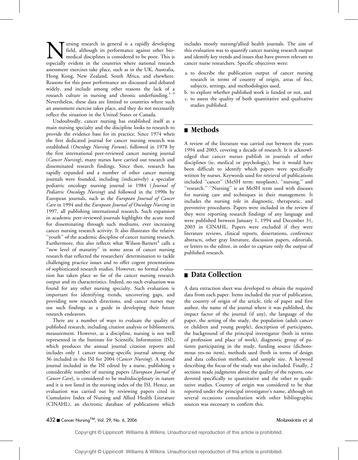ursing research in general is a rapidly developing field, although its performance against other biomedical disciplines is considered to be poor. This is especially evident in the countries where national research assessment exercises take place, such as in the UK, Australia, Hong Kong, New Zealand, South Africa, and elsewhere. Reasons for this poor performance are discussed and debated widely, and include among other reasons the lack of a research culture in nursing and chronic underfunding. $1-3$ Nevertheless, these data are limited to countries where such an assessment exercise takes place, and they do not necessarily reflect the situation in the United States or Canada.

Undoubtedly, cancer nursing has established itself as a main nursing specialty and the discipline looks to research to provide the evidence base for its practice. Since 1974 when the first dedicated journal for cancer nursing research was established (Oncology Nursing Forum), followed in 1978 by the first international peer-reviewed cancer nursing journal (Cancer Nursing), many nurses have carried out research and disseminated research findings. Since then, research has rapidly expanded and a number of other cancer nursing journals were founded, including (indicatively) a specialist pediatric oncology nursing journal in 1984 (Journal of Pediatric Oncology Nursing) and followed in the 1990s by European journals, such as the European Journal of Cancer Care in 1994 and the European Journal of Oncology Nursing in 1997, all publishing international research. Such expansion in academic peer-reviewed journals highlights the acute need for disseminating through such mediums, ever increasing cancer nursing research activity. It also illustrates the relative ''youth'' of the academic discipline of cancer nursing research. Furthermore, this also reflects what Wilson-Barnett<sup>4</sup> calls a "new level of maturity" in some areas of cancer nursing research that reflected the researchers' determination to tackle challenging practice issues and to offer cogent presentations of sophisticated research studies. However, no formal evaluation has taken place so far of the cancer nursing research output and its characteristics. Indeed, no such evaluation was found for any other nursing specialty. Such evaluation is important for identifying trends, uncovering gaps, and providing new research directions, and cancer nurses may use such findings as a guide in developing their future research endeavors.

There are a number of ways to evaluate the quality of published research, including citation analysis or bibliometric measurement. However, as a discipline, nursing is not well represented in the Institute for Scientific Information (ISI), which produces the annual journal citation reports and includes only 1 cancer nursing-specific journal among the 36 included in the ISI for 2004 (Cancer Nursing). A second journal included in the ISI edited by a nurse, publishing a considerable number of nursing papers (European Journal of Cancer Care), is considered to be multidisciplinary in nature and it is not listed in the nursing index of the ISI. Hence, an evaluation was carried out by reviewing papers cited in Cumulative Index of Nursing and Allied Health Literature (CINAHL), an electronic database of publications which

includes mostly nursing/allied health journals. The aim of this evaluation was to quantify cancer nursing research output and identify key trends and issues that have proven relevant to cancer nurse researchers. Specific objectives were:

- a. to describe the publication output of cancer nursing research in terms of country of origin, areas of foci, subjects, settings, and methodologies used,
- b. to explore whether published work is funded or not, and
- c. to assess the quality of both quantitative and qualitative studies published.

## ■ Methods

A review of the literature was carried out between the years 1994 and 2003, covering a decade of research. It is acknowledged that cancer nurses publish in journals of other disciplines (ie, medical or psychologic), but it would have been difficult to identify which papers were specifically written by nurses. Keywords used for retrieval of publications included ''cancer'' (MeSH term: neoplasm), ''nursing,'' and "research." "Nursing" is an MeSH term used with diseases for nursing care and techniques in their management. It includes the nursing role in diagnostic, therapeutic, and preventive procedures. Papers were included in the review if they were reporting research findings of any language and were published between January 1, 1994 and December 31, 2003 in CINAHL. Papers were excluded if they were literature reviews, clinical reports, dissertations, conference abstracts, other gray literature, discussion papers, editorials, or letters to the editor, in order to capture only the output of published research.

## ■ Data Collection

A data extraction sheet was developed to obtain the required data from each paper. Items included the year of publication, the country of origin of the article, title of paper and first author, the name of the journal where it was published, the impact factor of the journal (if any), the language of the paper, the setting of the study, the population (adult cancer or children and young people), description of participants, the background of the principal investigator (both in terms of profession and place of work), diagnostic group of patients participating in the study, funding source (dichotomous yes-no item), methods used (both in terms of design and data collection method), and sample size. A keyword describing the focus of the study was also included. Finally, 2 sections made judgments about the quality of the reports, one devoted specifically to quantitative and the other to qualitative studies. Country of origin was considered to be that reported under the principal investigator's name, although on several occasions consultation with other bibliographic sources was necessary to confirm this.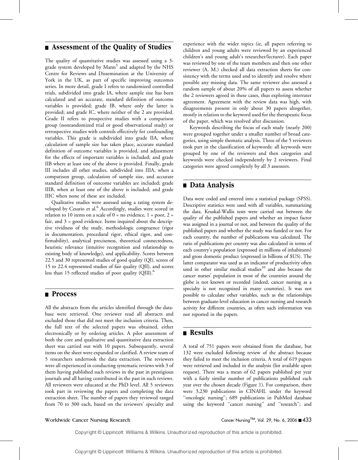## **n** Assessment of the Quality of Studies

The quality of quantitative studies was assessed using a 3 grade system developed by Mann<sup>5</sup> and adapted by the NHS Centre for Reviews and Dissemination at the University of York in the UK, as part of specific improving outcomes series. In more detail, grade I refers to randomized controlled trials, subdivided into grade IA, where sample size has been calculated and an accurate, standard definition of outcome variables is provided; grade IB, where only the latter is provided; and grade IC, where neither of the 2 are provided. Grade II refers to prospective studies with a comparison group (nonrandomized trial or good observational study) or retrospective studies with controls effectively for confounding variables. This grade is subdivided into grade IIA, where calculation of sample size has taken place, accurate standard definition of outcome variables is provided, and adjustment for the effects of important variables is included; and grade IIB where at least one of the above is provided. Finally, grade III includes all other studies, subdivided into IIIA, when a comparison group, calculation of sample size, and accurate standard definition of outcome variables are included; grade IIIB, when at least one of the above is included; and grade IIIC when none of these are included.

Qualitative studies were assessed using a rating system developed by Cesario et al.<sup>6</sup> Accordingly, studies were scored in relation to 10 items on a scale of  $0 =$  no evidence,  $1 =$  poor,  $2 =$ fair, and 3 = good evidence. Items inquired about the descriptive vividness of the study, methodologic congruence (rigor in documentation, procedural rigor, ethical rigor, and confirmability), analytical preciseness, theoretical connectedness, heuristic relevance (intuitive recognition and relationship to existing body of knowledge), and applicability. Scores between 22.5 and 30 represented studies of good quality (QI), scores of 15 to 22.4 represented studies of fair quality (QII), and scores less than 15 reflected studies of poor quality (QIII).<sup>6</sup>

#### ■ Process

All the abstracts from the articles identified through the database were retrieved. One reviewer read all abstracts and excluded those that did not meet the inclusion criteria. Then, the full text of the selected papers was obtained, either electronically or by ordering articles. A pilot assessment of both the core and qualitative and quantitative data extraction sheet was carried out with 10 papers. Subsequently, several items on the sheet were expanded or clarified. A review team of 5 researchers undertook the data extraction. The reviewers were all experienced in conducting systematic reviews with 3 of them having published such reviews in the past in prestigious journals and all having contributed in the past in such reviews. All reviewers were educated at the PhD level. All 5 reviewers took part in reviewing the papers and completing the data extraction sheet. The number of papers they reviewed ranged from 70 to 300 each, based on the reviewers' specialty and experience with the wider topics (ie, all papers referring to children and young adults were reviewed by an experienced children's and young adult's researcher/lecturer). Each paper was reviewed by one of the team members and then one other reviewer (A. M.) checked all data extraction sheets for consistency with the terms used and to identify and resolve where possible any missing data. The same reviewer also assessed a random sample of about 20% of all papers to assess whether the 2 reviewers agreed in these cases, thus exploring interrater agreement. Agreement with the review data was high, with disagreements present in only about 30 papers altogether, mostly in relation to the keyword used for the therapeutic focus of the paper, which was resolved after discussion.

Keywords describing the focus of each study (nearly 200) were grouped together under a smaller number of broad categories, using simple thematic analysis. Three of the 5 reviewers took part in the classification of keywords: all keywords were grouped by one of the reviewers and then categories and keywords were checked independently by 2 reviewers. Final categories were agreed completely by all 3 assessors.

### ■ Data Analysis

Data were coded and entered into a statistical package (SPSS). Descriptive statistics were used with all variables, summarizing the data. Kruskal-Wallis tests were carried out between the quality of the published papers and whether an impact factor was assigned in a journal or not, and between the quality of the published papers and whether the study was funded or not. For each country, the number of publications was calculated. The ratio of publications per country was also calculated in terms of each country's population (expressed in millions of inhabitants) and gross domestic product (expressed in billions of \$US). The latter comparator was used as an indicator of productivity often used in other similar medical studies<sup>10</sup> and also because the cancer nurses' population in most of the countries around the globe is not known or recorded (indeed, cancer nursing as a specialty is not recognized in many countries). It was not possible to calculate other variables, such as the relationships between graduate-level education in cancer nursing and research activity for different countries, as often such information was not reported in the papers.

#### **n** Results

A total of 751 papers were obtained from the database, but 132 were excluded following review of the abstract because they failed to meet the inclusion criteria. A total of 619 papers were retrieved and included in the analysis (list available upon request). There was a mean of 62 papers published per year with a fairly similar number of publications published each year over the chosen decade (Figure 1). For comparison, there were 3,230 publications in CINAHL under the keyword "oncologic nursing"; 689 publications in PubMed database using the keyword ''cancer nursing'' and ''research''; and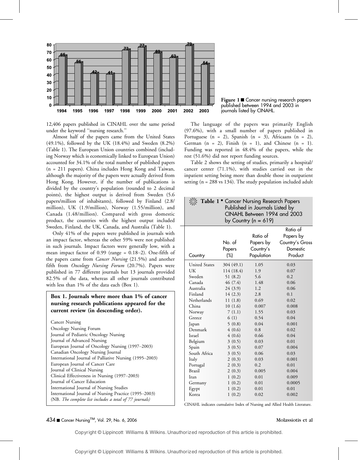

12,406 papers published in CINAHL over the same period under the keyword ''nursing research.''

Almost half of the papers came from the United States (49.1%), followed by the UK (18.4%) and Sweden (8.2%) (Table 1). The European Union countries combined (including Norway which is economically linked to European Union) accounted for 34.1% of the total number of published papers (n = 211 papers). China includes Hong Kong and Taiwan, although the majority of the papers were actually derived from Hong Kong. However, if the number of publications is divided by the country's population (rounded to 2 decimal points), the highest output is derived from Sweden (5.6 papers/million of inhabitants), followed by Finland (2.8/ million), UK (1.9/million), Norway (1.55/million), and Canada (1.48/million). Compared with gross domestic product, the countries with the highest output included Sweden, Finland, the UK, Canada, and Australia (Table 1).

Only 41% of the papers were published in journals with an impact factor, whereas the other 59% were not published in such journals. Impact factors were generally low, with a mean impact factor of  $0.99$  (range =  $0.18-2$ ). One-fifth of the papers came from *Cancer Nursing* (21.5%) and another fifth from Oncology Nursing Forum (20.7%). Papers were published in 77 different journals but 13 journals provided 82.5% of the data, whereas all other journals contributed with less than 1% of the data each (Box 1).

#### Box 1. Journals where more than 1% of cancer nursing research publications appeared for the current review (in descending order).

Cancer Nursing Oncology Nursing Forum Journal of Pediatric Oncology Nursing Journal of Advanced Nursing European Journal of Oncology Nursing (1997-2003) Canadian Oncology Nursing Journal International Journal of Palliative Nursing (1995-2003) European Journal of Cancer Care Journal of Clinical Nursing Clinical Effectiveness in Nursing (1997-2003) Journal of Cancer Education International Journal of Nursing Studies International Journal of Nursing Practice (1995–2003) (NB. The complete list includes a total of 77 journals)

Figure 1 Cancer nursing research papers published between 1994 and 2003 in journals listed by CINAHL.

The language of the papers was primarily English (97.6%), with a small number of papers published in Portuguese  $(n = 2)$ , Spanish  $(n = 3)$ , Africaans  $(n = 2)$ , German  $(n = 2)$ , Finish  $(n = 1)$ , and Chinese  $(n = 1)$ . Funding was reported in 48.4% of the papers, while the rest (51.6%) did not report funding sources.

Table 2 shows the setting of studies, primarily a hospital/ cancer center (71.1%), with studies carried out in the inpatient setting being more than double those in outpatient setting (n = 288 vs 134). The study population included adult

| Table 1 • Cancer Nursing Research Papers<br>Published in Journals Listed by<br>CINAHL Between 1994 and 2003<br>by Country ( $n = 619$ ) |                            |                                                  |                                                                 |
|-----------------------------------------------------------------------------------------------------------------------------------------|----------------------------|--------------------------------------------------|-----------------------------------------------------------------|
| Country                                                                                                                                 | No. of<br>Papers<br>$(\%)$ | Ratio of<br>Papers by<br>Country's<br>Population | Ratio of<br>Papers by<br>Country's Gross<br>Domestic<br>Product |
| <b>United States</b>                                                                                                                    | 304 (49.1)                 | 1.05                                             | 0.03                                                            |
| UK                                                                                                                                      | 114 (18.4)                 | 1.9                                              | 0.07                                                            |
| Sweden                                                                                                                                  | 51(8.2)                    | 5.6                                              | 0.2                                                             |
| Canada                                                                                                                                  | 46(7.4)                    | 1.48                                             | 0.06                                                            |
| Australia                                                                                                                               | 24(3.9)                    | 1.2                                              | 0.06                                                            |
| Finland                                                                                                                                 | 14(2.3)                    | 2.8                                              | 0.1                                                             |
| Netherlands                                                                                                                             | 11(1.8)                    | 0.69                                             | 0.02                                                            |
| China                                                                                                                                   | 10(1.6)                    | 0.007                                            | 0.008                                                           |
| Norway                                                                                                                                  | 7(1.1)                     | 1.55                                             | 0.03                                                            |
| Greece                                                                                                                                  | 6(1)                       | 0.54                                             | 0.04                                                            |
| Japan                                                                                                                                   | 5(0.8)                     | 0.04                                             | 0.001                                                           |
| Denmark                                                                                                                                 | 4(0.6)                     | 0.8                                              | 0.02                                                            |
| Israel                                                                                                                                  | 4(0.6)                     | 0.66                                             | 0.04                                                            |
| Belgium                                                                                                                                 | 3(0.5)                     | 0.03                                             | 0.01                                                            |
| Spain                                                                                                                                   | 3(0.5)                     | 0.07                                             | 0.004                                                           |
| South Africa                                                                                                                            | 3(0.5)                     | 0.06                                             | 0.03                                                            |
| Italy                                                                                                                                   | 2(0.3)                     | 0.03                                             | 0.001                                                           |
| Portugal                                                                                                                                | 2(0.3)                     | 0.2                                              | 0.01                                                            |
| <b>Brazil</b>                                                                                                                           | 2(0.3)                     | 0.005                                            | 0.004                                                           |
| Iran                                                                                                                                    | 1(0.2)                     | 0.01                                             | 0.009                                                           |
| Germany                                                                                                                                 | 1(0.2)                     | 0.01                                             | 0.0005                                                          |
| Egypt                                                                                                                                   | 1(0.2)                     | 0.01                                             | 0.01                                                            |
| Korea                                                                                                                                   | 1(0.2)                     | 0.02                                             | 0.002                                                           |

CINAHL indicates cumulative Index of Nursing and Allied Health Literature.

Copyright © Lippincott Williams & Wilkins. Unauthorized reproduction of this article is prohibited.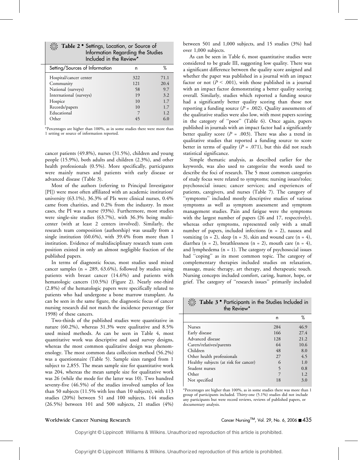|  | Table 2 • Settings, Location, or Source of |
|--|--------------------------------------------|
|  | Information Regarding the Studies          |
|  | Included in the Review*                    |

| Setting/Sources of Information | n   | %    |
|--------------------------------|-----|------|
| Hospital/cancer center         | 322 | 71.1 |
| Community                      | 121 | 20.4 |
| National (surveys)             | 58  | 9.7  |
| International (surveys)        | 19  | 3.2  |
| Hospice                        | 10  | 1.7  |
| Records/papers                 | 10  | 1.7  |
| Educational                    |     | 1.2  |
| Other                          | 45  | 6.0  |
|                                |     |      |

\*Percentages are higher than 100%, as in some studies there were more than 1 setting or source of information reported.

cancer patients (49.8%), nurses (31.5%), children and young people (15.9%), both adults and children (2.3%), and other health professionals (0.5%). More specifically, participants were mainly nurses and patients with early disease or advanced disease (Table 3).

Most of the authors (referring to Principal Investigator [PI]) were most often affiliated with an academic institution/ university (63.1%), 36.3% of PIs were clinical nurses, 0.4% came from charities, and 0.2% from the industry. In most cases, the PI was a nurse (93%). Furthermore, most studies were single-site studies (63.7%), with 36.3% being multicenter (with at least 2 centers involved). Similarly, the research team composition (authorship) was usually from a single institution (60.6%), with 39.4% from more than 1 institution. Evidence of multidisciplinary research team com position existed in only an almost negligible fraction of the published papers.

In terms of diagnostic focus, most studies used mixed cancer samples ( $n = 289, 63.6\%$ ), followed by studies using patients with breast cancer (14.6%) and patients with hematologic cancers (10.5%) (Figure 2). Nearly one-third (2.8%) of the hematologic papers were specifically related to patients who had undergone a bone marrow transplant. As can be seen in the same figure, the diagnostic focus of cancer nursing research did not match the incidence percentage (for 1998) of these cancers.

Two-thirds of the published studies were quantitative in nature (60.2%), whereas 31.3% were qualitative and 8.5% used mixed methods. As can be seen in Table 4, most quantitative work was descriptive and used survey designs, whereas the most common qualitative design was phenomenology. The most common data collection method (56.2%) was a questionnaire (Table 5). Sample sizes ranged from 1 subject to 2,855. The mean sample size for quantitative work was 204, whereas the mean sample size for qualitative work was 26 (while the mode for the latter was 10). Two hundred seventy-five (46.5%) of the studies involved samples of less than 50 subjects (11.5% with less than 10 subjects), with 113 studies (20%) between 51 and 100 subjects, 144 studies (26.5%) between 101 and 500 subjects, 21 studies (4%)

between 501 and 1,000 subjects, and 15 studies (3%) had over 1,000 subjects.

As can be seen in Table 6, most quantitative studies were considered to be grade III, suggesting low quality. There was a significant difference between the quality score assigned and whether the paper was published in a journal with an impact factor or not  $(P < .001)$ , with those published in a journal with an impact factor demonstrating a better quality scoring overall. Similarly, studies which reported a funding source had a significantly better quality scoring than those not reporting a funding source ( $P = .002$ ). Quality assessments of the qualitative studies were also low, with most papers scoring in the category of ''poor'' (Table 6). Once again, papers published in journals with an impact factor had a significantly better quality score ( $P = .003$ ). There was also a trend in qualitative studies that reported a funding source to score better in terms of quality ( $P = .071$ ), but this did not reach statistical significance.

Simple thematic analysis, as described earlier for the keywords, was also used to categorize the words used to describe the foci of research. The 5 most common categories of study focus were related to symptoms; nursing issues/roles; psychosocial issues; cancer services; and experiences of patients, caregivers, and nurses (Table 7). The category of ''symptoms'' included mostly descriptive studies of various symptoms as well as symptom assessment and symptom management studies. Pain and fatigue were the symptoms with the largest number of papers (26 and 17, respectively), whereas other symptoms, represented only with a small number of papers, included infections (n = 2), nausea and vomiting  $(n = 2)$ , sleep  $(n = 3)$ , skin and wound care  $(n = 4)$ , diarrhea (n = 2), breathlessness (n = 2), mouth care (n = 4), and lymphedema  $(n = 1)$ . The category of psychosocial issues had "coping" as its most common topic. The category of complementary therapies included studies on relaxation, massage, music therapy, art therapy, and therapeutic touch. Nursing concepts included comfort, caring, humor, hope, or grief. The category of ''research issues'' primarily included

 $\mathcal{H}$  Table 3  $\bullet$  Participants in the Studies Included in the Review\*

|                                       | n   | ℅    |
|---------------------------------------|-----|------|
| <b>Nurses</b>                         | 284 | 46.9 |
| Early disease                         | 166 | 27.4 |
| Advanced disease                      | 128 | 21.2 |
| Carers/relatives/parents              | 64  | 10.6 |
| Children                              | 48  | 8.0  |
| Other health professionals            | 27  | 4.5  |
| Healthy subjects (at risk for cancer) | 6   | 1.0  |
| Student nurses                        | 5   | 0.8  |
| Other                                 |     | 1.2  |
| Not specified                         | 18  | 3.0  |

\*Percentages are higher than 100%, as in some studies there was more than 1 group of participants included. Thirty-one (5.1%) studies did not include any participants but were record reviews, reviews of published papers, or documentary analysis.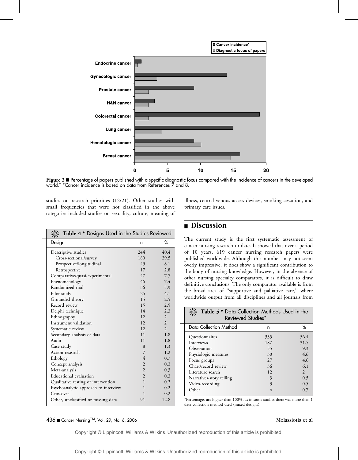

Figure 2 **P** Percentage of papers published with a specific diagnostic focus compared with the incidence of cancers in the developed world.\* \*Cancer incidence is based on data from References 7 and 8.

studies on research priorities (12/21). Other studies with small frequencies that were not classified in the above categories included studies on sexuality, culture, meaning of

| Table 4 • Designs Used in the Studies Reviewed |                |                |
|------------------------------------------------|----------------|----------------|
| Design                                         | n              | ℅              |
| Descriptive studies                            | 244            | 40.4           |
| Cross-sectional/survey                         | 180            | 29.5           |
| Prospective/longitudinal                       | 49             | 8.1            |
| Retrospective                                  | 17             | 2.8            |
| Comparative/quasi-experimental                 | 47             | 7.7            |
| Phenomenology                                  | 46             | 7.4            |
| Randomized trial                               | 36             | 5.9            |
| Pilot study                                    | 25             | 4.1            |
| Grounded theory                                | 15             | 2.5            |
| Record review                                  | 15             | 2.5            |
| Delphi technique                               | 14             | 2.3            |
| Ethnography                                    | 12             | $\overline{2}$ |
| Instrument validation                          | 12             | $\overline{2}$ |
| Systematic review                              | 12.            | $\overline{2}$ |
| Secondary analysis of data                     | 11             | 1.8            |
| Audit                                          | 11             | 1.8            |
| Case study                                     | 8              | 1.3            |
| Action research                                | 7              | 1.2            |
| Ethology                                       | 4              | 0.7            |
| Concept analysis                               | $\overline{2}$ | 0.3            |
| Meta-analysis                                  | $\overline{2}$ | 0.3            |
| Educational evaluation                         | $\overline{2}$ | 0.3            |
| Qualitative testing of intervention            | 1              | 0.2            |
| Psychoanalytic approach to interview           | $\mathbf{1}$   | 0.2            |
| Crossover                                      | $\mathbf{1}$   | 0.2            |
| Other, unclassified or missing data            | 91             | 12.8           |

illness, central venous access devices, smoking cessation, and primary care issues.

### **n** Discussion

The current study is the first systematic assessment of cancer nursing research to date. It showed that over a period of 10 years, 619 cancer nursing research papers were published worldwide. Although this number may not seem overly impressive, it does show a significant contribution to the body of nursing knowledge. However, in the absence of other nursing specialty comparators, it is difficult to draw definitive conclusions. The only comparator available is from the broad area of ''supportive and palliative care,'' where worldwide output from all disciplines and all journals from

| <b>Key Table 5 •</b> Data Collection Methods Used in the<br>Reviewed Studies* |
|-------------------------------------------------------------------------------|
|                                                                               |
|                                                                               |

| Data Collection Method   | n   | %    |
|--------------------------|-----|------|
| Questionnaires           | 335 | 56.4 |
| <b>Interviews</b>        | 187 | 31.5 |
| Observation              | 55  | 9.3  |
| Physiologic measures     | 30  | 4.6  |
| Focus groups             | 27  | 4.6  |
| Chart/record review      | 36  | 6.1  |
| Literature search        | 12  | 2    |
| Narratives-story telling | 3   | 0.5  |
| Video-recording          | 3   | 0.5  |
| Other                    |     | 0.7  |

\*Percentages are higher than 100%, as in some studies there was more than 1 data collection method used (mixed designs).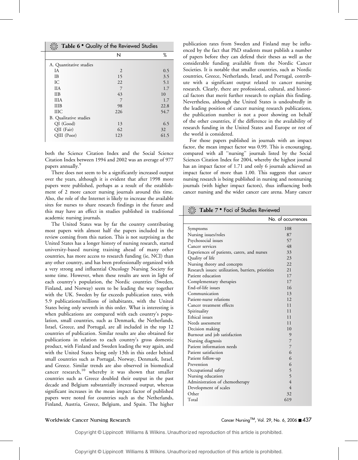| Table 6 . Quality of the Reviewed Studies |     |      |  |
|-------------------------------------------|-----|------|--|
|                                           | N   | ℅    |  |
| A. Quantitative studies                   |     |      |  |
| ΙA                                        | 2   | 0.5  |  |
| <b>IB</b>                                 | 15  | 3.5  |  |
| IC.                                       | 22  | 5.1  |  |
| <b>IIA</b>                                | 7   | 1.7  |  |
| <b>IIB</b>                                | 43  | 10   |  |
| <b>IIIA</b>                               | 7   | 1.7  |  |
| <b>IIIB</b>                               | 98  | 22.8 |  |
| ШC                                        | 226 | 54.7 |  |
| B. Qualitative studies                    |     |      |  |
| QI (Good)                                 | 13  | 6.5  |  |
| QII (Fair)                                | 62  | 32   |  |
| QIII (Poor)                               | 123 | 61.5 |  |

both the Science Citation Index and the Social Science Citation Index between 1994 and 2002 was an average of 977 papers annually.<sup>9</sup>

There does not seem to be a significantly increased output over the years, although it is evident that after 1998 more papers were published, perhaps as a result of the establishment of 2 more cancer nursing journals around this time. Also, the role of the Internet is likely to increase the available sites for nurses to share research findings in the future and this may have an effect in studies published in traditional academic nursing journals.

The United States was by far the country contributing most papers with almost half the papers included in the review coming from this nation. This is not surprising as the United States has a longer history of nursing research, started university-based nursing training ahead of many other countries, has more access to research funding (ie, NCI) than any other country, and has been professionally organized with a very strong and influential Oncology Nursing Society for some time. However, when these results are seen in light of each country's population, the Nordic countries (Sweden, Finland, and Norway) seem to be leading the way together with the UK. Sweden by far exceeds publication rates, with 5.9 publications/millions of inhabitants, with the United States being only seventh in this order. What is interesting is when publications are compared with each country's population, small countries, such as Denmark, the Netherlands, Israel, Greece, and Portugal, are all included in the top 12 countries of publication. Similar results are also obtained for publications in relation to each country's gross domestic product, with Finland and Sweden leading the way again, and with the United States being only 13th in this order behind small countries such as Portugal, Norway, Denmark, Israel, and Greece. Similar trends are also observed in biomedical cancer research,<sup>10</sup> whereby it was shown that smaller countries such as Greece doubled their output in the past decade and Belgium substantially increased output, whereas significant increases in the mean impact factor of published papers were noted for countries such as the Netherlands, Finland, Austria, Greece, Belgium, and Spain. The higher

publication rates from Sweden and Finland may be influenced by the fact that PhD students must publish a number of papers before they can defend their theses as well as the considerable funding available from the Nordic Cancer Societies. It is notable that smaller countries, such as Nordic countries, Greece, Netherlands, Israel, and Portugal, contribute with a significant output related to cancer nursing research. Clearly, there are professional, cultural, and historical factors that merit further research to explain this finding. Nevertheless, although the United States is undoubtedly in the leading position of cancer nursing research publications, the publication number is not a poor showing on behalf of the other countries, if the difference in the availability of research funding in the United States and Europe or rest of the world is considered.

For those papers published in journals with an impact factor, the mean impact factor was 0.99. This is encouraging, compared with all ''nursing'' journals listed by the Social Sciences Citation Index for 2004, whereby the highest journal has an impact factor of 1.71 and only 6 journals achieved an impact factor of more than 1.00. This suggests that cancer nursing research is being published in nursing and nonnursing journals (with higher impact factors), thus influencing both cancer nursing and the wider cancer care arena. Many cancer

| Table 7 . Foci of Studies Reviewed                 |                    |  |  |
|----------------------------------------------------|--------------------|--|--|
|                                                    | No. of occurrences |  |  |
| Symptoms                                           | 108                |  |  |
| Nursing issues/roles                               | 87                 |  |  |
| Psychosocial issues                                | 57                 |  |  |
| Cancer services                                    | 48                 |  |  |
| Experiences of patients, carers, and nurses        | 33                 |  |  |
| Quality of life                                    | 23                 |  |  |
| Nursing theory and concepts                        | 22                 |  |  |
| Research issues: utilization, barriers, priorities | 21                 |  |  |
| Patient education                                  | 17                 |  |  |
| Complementary therapies                            | 17                 |  |  |
| End-of-life issues                                 | 16                 |  |  |
| Communication                                      | 13                 |  |  |
| Patient-nurse relations                            | 12                 |  |  |
| Cancer treatment effects                           | 11                 |  |  |
| Spirituality                                       | 11                 |  |  |
| Ethical issues                                     | 11                 |  |  |
| Needs assessment                                   | 11                 |  |  |
| Decision making                                    | 10                 |  |  |
| Burnout and job satisfaction                       | 9                  |  |  |
| Nursing diagnosis                                  | 7                  |  |  |
| Patient information needs                          | 7                  |  |  |
| Patient satisfaction                               | 6                  |  |  |
| Patient follow-up                                  | 6                  |  |  |
| Prevention                                         | 6                  |  |  |
| Occupational safety                                | 5                  |  |  |
| Nursing education                                  | 5                  |  |  |
| Administration of chemotherapy                     | $\overline{4}$     |  |  |
| Development of scales                              | 4                  |  |  |
| Other                                              | 32                 |  |  |
| Total                                              | 619                |  |  |

Copyright © Lippincott Williams & Wilkins. Unauthorized reproduction of this article is prohibited.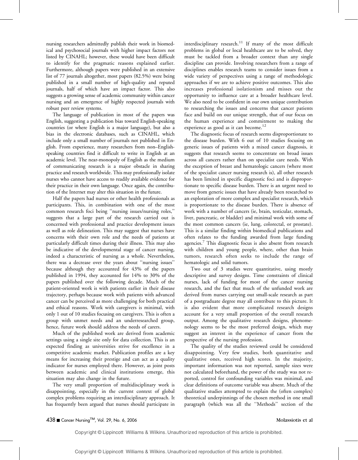nursing researchers admittedly publish their work in biomedical and psychosocial journals with higher impact factors not listed by CINAHL; however, these would have been difficult to identify for the pragmatic reasons explained earlier. Furthermore, although papers were published in an extensive list of 77 journals altogether, most papers (82.5%) were being published in a small number of high-quality and reputed journals, half of which have an impact factor. This also suggests a growing sense of academic community within cancer nursing and an emergence of highly respected journals with robust peer review systems.

The language of publication in most of the papers was English, suggesting a publication bias toward English-speaking countries (or where English is a major language), but also a bias in the electronic databases, such as CINAHL, which include only a small number of journals not published in English. From experience, many researchers from non–Englishspeaking countries find it difficult to write in English at an academic level. The near-monopoly of English as the medium of communicating research is a major obstacle in sharing practice and research worldwide. This may professionally isolate nurses who cannot have access to readily available evidence for their practice in their own language. Once again, the contribution of the Internet may alter this situation in the future.

Half the papers had nurses or other health professionals as participants. This, in combination with one of the most common research foci being ''nursing issues/nursing roles,'' suggests that a large part of the research carried out is concerned with professional and practice development issues as well as role delineation. This may suggest that nurses have concerns with their own role and the needs of patients at particularly difficult times during their illness. This may also be indicative of the developmental stage of cancer nursing, indeed a characteristic of nursing as a whole. Nevertheless, there was a decrease over the years about ''nursing issues'' because although they accounted for 43% of the papers published in 1994, they accounted for 14% to 30% of the papers published over the following decade. Much of the patient-oriented work is with patients earlier in their disease trajectory, perhaps because work with patients with advanced cancer can be perceived as more challenging for both practical and ethical reasons. Work with caregivers is minimal, with only 1 out of 10 studies focusing on caregivers. This is often a group with unmet needs and an underresearched group, hence, future work should address the needs of carers.

Much of the published work are derived from academic settings using a single site only for data collection. This is an expected finding as universities strive for excellence in a competitive academic market. Publication profiles are a key means for increasing their prestige and can act as a quality indicator for nurses employed there. However, as joint posts between academic and clinical institutions emerge, this situation may also change in the future.

The very small proportion of multidisciplinary work is disappointing, especially in the current context of global complex problems requiring an interdisciplinary approach. It has frequently been argued that nurses should participate in

interdisciplinary research.<sup>11</sup> If many of the most difficult problems in global or local healthcare are to be solved, they must be tackled from a broader context than any single discipline can provide. Involving researchers from a range of disciplines enables research teams to consider issues from a wide variety of perspectives using a range of methodologic approaches if we are to achieve positive outcomes. This also increases professional isolationism and misses out the opportunity to influence care at a broader healthcare level. We also need to be confident in our own unique contribution to researching the issues and concerns that cancer patients face and build on our unique strength, that of our focus on the human experience and commitment to making the experience as good as it can become.<sup>12</sup>

The diagnostic focus of research seems disproportionate to the disease burden. With 6 out of 10 studies focusing on generic issues of patients with a mixed cancer diagnosis, it suggests that research seems to concentrate on broad issues across all cancers rather than on specialist care needs. With the exception of breast and hematologic cancers (where most of the specialist cancer nursing research is), all other research has been limited in specific diagnostic foci and is disproportionate to specific disease burden. There is an urgent need to move from generic issues that have already been researched to an exploration of more complex and specialist research, which is proportionate to the disease burden. There is absence of work with a number of cancers (ie, brain, testicular, stomach, liver, pancreatic, or bladder) and minimal work with some of the most common cancers (ie, lung, colorectal, or prostate). This is a similar finding within biomedical publications and often relates to the funding awarded from large funding agencies.<sup>7</sup> This diagnostic focus is also absent from research with children and young people, where, other than brain tumors, research often seeks to include the range of hematologic and solid tumors.

Two out of 3 studies were quantitative, using mostly descriptive and survey designs. Time constraints of clinical nurses, lack of funding for most of the cancer nursing research, and the fact that much of the unfunded work are derived from nurses carrying out small-scale research as part of a postgraduate degree may all contribute to this picture. It is also evident that more complicated research designs account for a very small proportion of the overall research output. Among the qualitative research designs, phenomenology seems to be the most preferred design, which may suggest an interest in the experience of cancer from the perspective of the nursing profession.

The quality of the studies reviewed could be considered disappointing. Very few studies, both quantitative and qualitative ones, received high scores. In the majority, important information was not reported, sample sizes were not calculated beforehand, the power of the study was not reported, control for confounding variables was minimal, and clear definitions of outcome variable was absent. Much of the qualitative studies attempted to explain the (often complex) theoretical underpinnings of the chosen method in one small paragraph (which was all the ''Methods'' section of the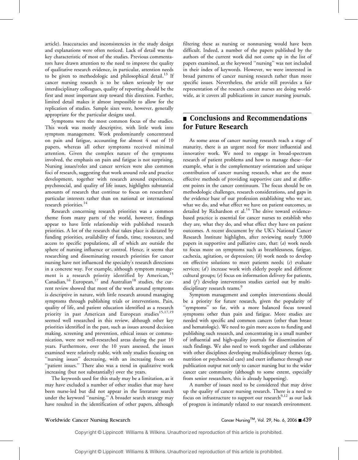article). Inaccuracies and inconsistencies in the study design and explanations were often noticed. Lack of detail was the key characteristic of most of the studies. Previous commentators have drawn attention to the need to improve the quality of qualitative research evidence, in particular, attention needs to be given to methodologic and philosophical detail.<sup>13</sup> If cancer nursing research is to be taken seriously by our interdisciplinary colleagues, quality of reporting should be the first and most important step toward this direction. Further, limited detail makes it almost impossible to allow for the replication of studies. Sample sizes were, however, generally appropriate for the particular designs used.

Symptoms were the most common focus of the studies. This work was mostly descriptive, with little work into symptom management. Work predominantly concentrated on pain and fatigue, accounting for almost 4 out of 10 papers, whereas all other symptoms received minimal attention. Given the complex nature of the symptoms involved, the emphasis on pain and fatigue is not surprising. Nursing issues/roles and cancer services were also common foci of research, suggesting that work around role and practice development, together with research around experiences, psychosocial, and quality of life issues, highlights substantial amounts of research that continue to focus on researchers' particular interests rather than on national or international research priorities.<sup>14</sup>

Research concerning research priorities was a common theme from many parts of the world, however, findings appear to have little relationship with published research priorities. A lot of the research that takes place is dictated by funding priorities, availability of funds, time, resources, and access to specific populations, all of which are outside the sphere of nursing influence or control. Hence, it seems that researching and disseminating research priorities for cancer nursing have not influenced the specialty's research directions in a concrete way. For example, although symptom management is a research priority identified by American,<sup>15</sup> Canadian,<sup>16</sup> European,<sup>17</sup> and Australian<sup>18</sup> studies, the current review showed that most of the work around symptoms is descriptive in nature, with little research around managing symptoms through publishing trials or interventions. Pain, quality of life, and patient education identified as a research priority in past American and European studies<sup>15,17,19</sup> seemed well researched in this review, although other key priorities identified in the past, such as issues around decision making, screening and prevention, ethical issues or communication, were not well-researched areas during the past 10 years. Furthermore, over the 10 years assessed, the issues examined were relatively stable, with only studies focusing on "nursing issues" decreasing, with an increasing focus on "patient issues." There also was a trend in qualitative work increasing (but not substantially) over the years.

The keywords used for this study may be a limitation, as it may have excluded a number of other studies that may have been nurse-led but did not appear in the literature search under the keyword ''nursing.'' A broader search strategy may have resulted in the identification of other papers, although filtering these as nursing or nonnursing would have been difficult. Indeed, a number of the papers published by the authors of the current work did not come up in the list of papers examined, as the keyword ''nursing'' was not included in their index of keywords. However, we were interested in broad patterns of cancer nursing research rather than more specific issues. Nevertheless, the article still provides a fair representation of the research cancer nurses are doing worldwide, as it covers all publications in cancer nursing journals.

## **n** Conclusions and Recommendations for Future Research

As some areas of cancer nursing research reach a stage of maturity, there is an urgent need for more influential and innovative work. We need to engage in broad-spectrum research of patient problems and how to manage these—for example, what is the complementary orientation and unique contribution of cancer nursing research, what are the most effective methods of providing supportive care and at different points in the cancer continuum. The focus should be on methodologic challenges, research considerations, and gaps in the evidence base of our profession establishing who we are, what we do, and what effect we have on patient outcomes, as detailed by Richardson et al. $14$  The drive toward evidencebased practice is essential for cancer nurses to establish who they are, what they do, and what effect they have on patient outcomes. A recent document by the UK's National Cancer Research Institute highlights, after reviewing nearly 9,000 papers in supportive and palliative care, that: (a) work needs to focus more on symptoms such as breathlessness, fatigue, cachexia, agitation, or depression;  $(b)$  work needs to develop on effective solutions to meet patients needs;  $(c)$  evaluate services;  $(d)$  increase work with elderly people and different cultural groups; (e) focus on information delivery for patients, and  $(f)$  develop intervention studies carried out by multidisciplinary research teams.<sup>9</sup>

Symptom management and complex interventions should be a priority for future research, given the popularity of ''symptoms'' so far, with a more balanced focus toward symptoms other than pain and fatigue. More studies are needed with specific and common cancers (other than breast and hematologic). We need to gain more access to funding and publishing such research, and concentrating in a small number of influential and high-quality journals for dissemination of such findings. We also need to work together and collaborate with other disciplines developing multidisciplinary themes (eg, nutrition or psychosocial care) and exert influence through our publication output not only to cancer nursing but to the wider cancer care community (although to some extent, especially from senior researchers, this is already happening).

A number of issues need to be considered that may drive up the quality of cancer nursing research. There is a need to focus on infrastructure to support our research $^{9,12}$  as our lack of progress is intimately related to our research environment.